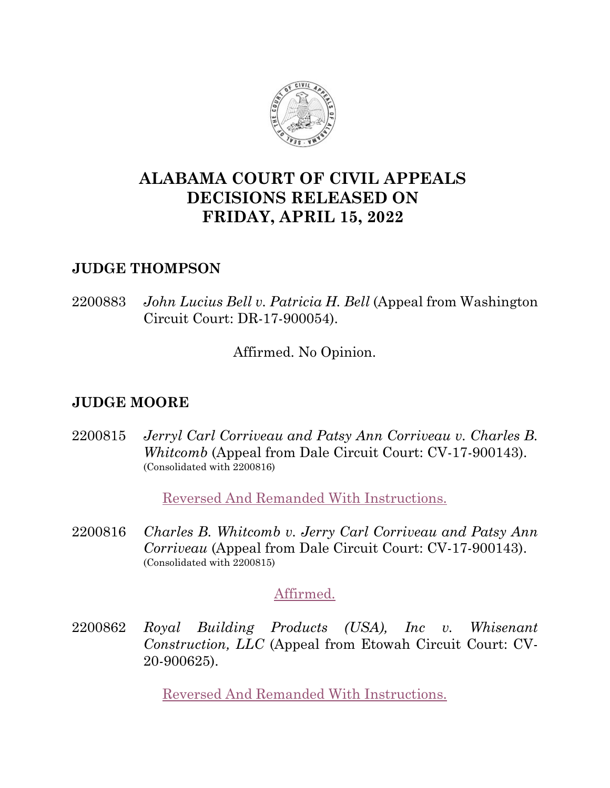

# **ALABAMA COURT OF CIVIL APPEALS DECISIONS RELEASED ON FRIDAY, APRIL 15, 2022**

# **JUDGE THOMPSON**

2200883 *John Lucius Bell v. Patricia H. Bell* (Appeal from Washington Circuit Court: DR-17-900054).

Affirmed. No Opinion.

## **JUDGE MOORE**

2200815 *Jerryl Carl Corriveau and Patsy Ann Corriveau v. Charles B. Whitcomb* (Appeal from Dale Circuit Court: CV-17-900143). (Consolidated with 2200816)

[Reversed And Remanded With Instructions.](https://acis.alabama.gov/displaydocs.cfm?no=1126867&event=6B70J1A9J)

2200816 *Charles B. Whitcomb v. Jerry Carl Corriveau and Patsy Ann Corriveau* (Appeal from Dale Circuit Court: CV-17-900143). (Consolidated with 2200815)

# [Affirmed.](https://acis.alabama.gov/displaydocs.cfm?no=1126867&event=6B70J1A9J)

2200862 *Royal Building Products (USA), Inc v. Whisenant Construction, LLC* (Appeal from Etowah Circuit Court: CV-20-900625).

[Reversed And Remanded With Instructions.](https://acis.alabama.gov/displaydocs.cfm?no=1126868&event=6B70JRFRJ)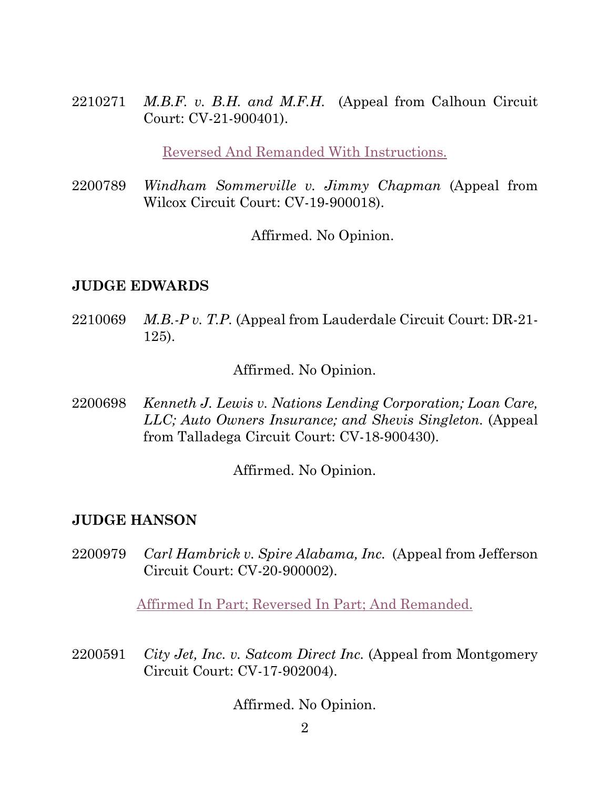2210271 *M.B.F. v. B.H. and M.F.H.* (Appeal from Calhoun Circuit Court: CV-21-900401).

[Reversed And Remanded With Instructions.](https://acis.alabama.gov/displaydocs.cfm?no=1126870&event=6B00VRP40)

2200789 *Windham Sommerville v. Jimmy Chapman* (Appeal from Wilcox Circuit Court: CV-19-900018).

Affirmed. No Opinion.

#### **JUDGE EDWARDS**

2210069 *M.B.-P v. T.P.* (Appeal from Lauderdale Circuit Court: DR-21- 125).

Affirmed. No Opinion.

2200698 *Kenneth J. Lewis v. Nations Lending Corporation; Loan Care, LLC; Auto Owners Insurance; and Shevis Singleton.* (Appeal from Talladega Circuit Court: CV-18-900430).

Affirmed. No Opinion.

## **JUDGE HANSON**

2200979 *Carl Hambrick v. Spire Alabama, Inc.* (Appeal from Jefferson Circuit Court: CV-20-900002).

Affirmed [In Part; Reversed In Part; And Remanded.](https://acis.alabama.gov/displaydocs.cfm?no=1126869&event=6B70JV0LI)

2200591 *City Jet, Inc. v. Satcom Direct Inc.* (Appeal from Montgomery Circuit Court: CV-17-902004).

Affirmed. No Opinion.